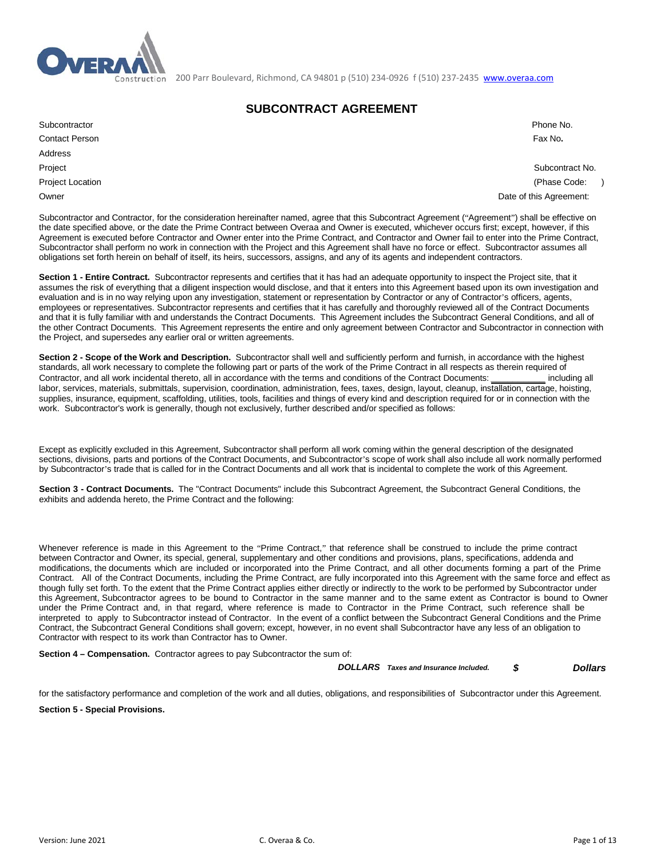

200 Parr Boulevard, Richmond, CA 94801 p (510) 234-0926 f (510) 237-2435 [www.overaa.com](http://www.overaa.com/)

# **SUBCONTRACT AGREEMENT**

| Subcontractor                | Phone No.                |
|------------------------------|--------------------------|
| <b>Contact Person</b>        | Fax No.                  |
| Address                      |                          |
| Project                      | Subcontract No.          |
| <b>Project Location</b>      | (Phase Code:             |
| $\bigcap_{x,y\in\mathbb{R}}$ | Dota of this Association |

Project Location (Phase Code: ) Owner **Date of this Agreement:**  $\blacksquare$ 

Subcontractor and Contractor, for the consideration hereinafter named, agree that this Subcontract Agreement ("Agreement") shall be effective on the date specified above, or the date the Prime Contract between Overaa and Owner is executed, whichever occurs first; except, however, if this Agreement is executed before Contractor and Owner enter into the Prime Contract, and Contractor and Owner fail to enter into the Prime Contract, Subcontractor shall perform no work in connection with the Project and this Agreement shall have no force or effect. Subcontractor assumes all obligations set forth herein on behalf of itself, its heirs, successors, assigns, and any of its agents and independent contractors.

**Section 1 - Entire Contract.** Subcontractor represents and certifies that it has had an adequate opportunity to inspect the Project site, that it assumes the risk of everything that a diligent inspection would disclose, and that it enters into this Agreement based upon its own investigation and evaluation and is in no way relying upon any investigation, statement or representation by Contractor or any of Contractor's officers, agents, employees or representatives. Subcontractor represents and certifies that it has carefully and thoroughly reviewed all of the Contract Documents and that it is fully familiar with and understands the Contract Documents. This Agreement includes the Subcontract General Conditions, and all of the other Contract Documents. This Agreement represents the entire and only agreement between Contractor and Subcontractor in connection with the Project, and supersedes any earlier oral or written agreements.

**Section 2 - Scope of the Work and Description.** Subcontractor shall well and sufficiently perform and furnish, in accordance with the highest standards, all work necessary to complete the following part or parts of the work of the Prime Contract in all respects as therein required of Contractor, and all work incidental thereto, all in accordance with the terms and conditions of the Contract Documents: *\_\_\_\_\_\_\_\_\_\_* including all labor, services, materials, submittals, supervision, coordination, administration, fees, taxes, design, layout, cleanup, installation, cartage, hoisting, supplies, insurance, equipment, scaffolding, utilities, tools, facilities and things of every kind and description required for or in connection with the work. Subcontractor's work is generally, though not exclusively, further described and/or specified as follows:

Except as explicitly excluded in this Agreement, Subcontractor shall perform all work coming within the general description of the designated sections, divisions, parts and portions of the Contract Documents, and Subcontractor's scope of work shall also include all work normally performed by Subcontractor's trade that is called for in the Contract Documents and all work that is incidental to complete the work of this Agreement.

**Section 3 - Contract Documents.** The "Contract Documents" include this Subcontract Agreement, the Subcontract General Conditions, the exhibits and addenda hereto, the Prime Contract and the following:

Whenever reference is made in this Agreement to the "Prime Contract," that reference shall be construed to include the prime contract between Contractor and Owner, its special, general, supplementary and other conditions and provisions, plans, specifications, addenda and modifications, the documents which are included or incorporated into the Prime Contract, and all other documents forming a part of the Prime Contract. All of the Contract Documents, including the Prime Contract, are fully incorporated into this Agreement with the same force and effect as though fully set forth. To the extent that the Prime Contract applies either directly or indirectly to the work to be performed by Subcontractor under this Agreement, Subcontractor agrees to be bound to Contractor in the same manner and to the same extent as Contractor is bound to Owner under the Prime Contract and, in that regard, where reference is made to Contractor in the Prime Contract, such reference shall be interpreted to apply to Subcontractor instead of Contractor. In the event of a conflict between the Subcontract General Conditions and the Prime Contract, the Subcontract General Conditions shall govern; except, however, in no event shall Subcontractor have any less of an obligation to Contractor with respect to its work than Contractor has to Owner.

**Section 4 – Compensation.** Contractor agrees to pay Subcontractor the sum of:

 *DOLLARS Taxes and Insurance Included. \$ Dollars*

for the satisfactory performance and completion of the work and all duties, obligations, and responsibilities of Subcontractor under this Agreement.

**Section 5 - Special Provisions.**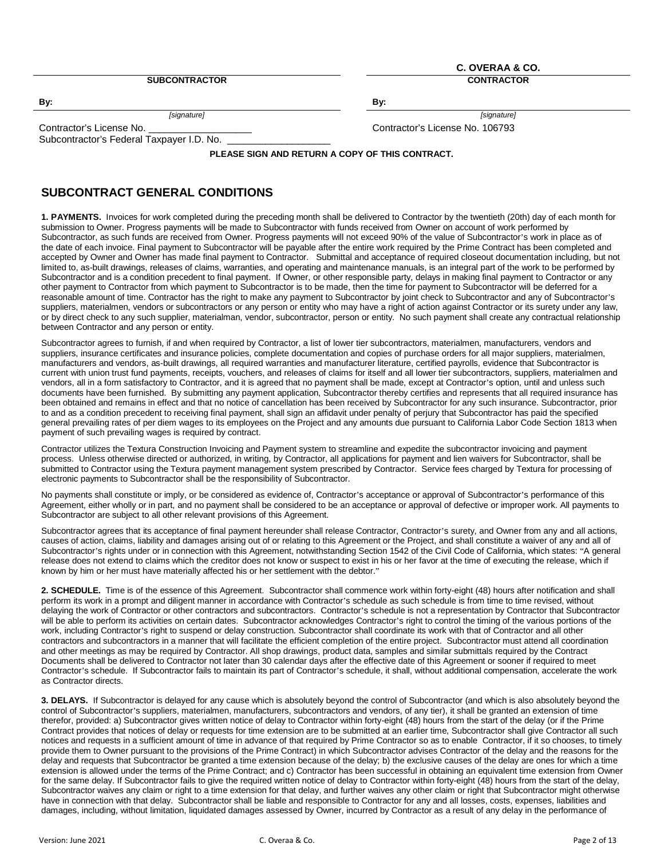**SUBCONTRACTOR CONTRACTOR**

**C. OVERAA & CO.**

**By: By:**

*[signature] [signature]*

Contractor's License No. \_\_\_\_\_\_\_\_\_\_\_\_\_\_\_\_\_\_\_ Contractor's License No. 106793

Subcontractor's Federal Taxpayer I.D. No.

**PLEASE SIGN AND RETURN A COPY OF THIS CONTRACT.**

# **SUBCONTRACT GENERAL CONDITIONS**

**1. PAYMENTS.** Invoices for work completed during the preceding month shall be delivered to Contractor by the twentieth (20th) day of each month for submission to Owner. Progress payments will be made to Subcontractor with funds received from Owner on account of work performed by Subcontractor, as such funds are received from Owner. Progress payments will not exceed 90% of the value of Subcontractor's work in place as of the date of each invoice. Final payment to Subcontractor will be payable after the entire work required by the Prime Contract has been completed and accepted by Owner and Owner has made final payment to Contractor. Submittal and acceptance of required closeout documentation including, but not limited to, as-built drawings, releases of claims, warranties, and operating and maintenance manuals, is an integral part of the work to be performed by Subcontractor and is a condition precedent to final payment. If Owner, or other responsible party, delays in making final payment to Contractor or any other payment to Contractor from which payment to Subcontractor is to be made, then the time for payment to Subcontractor will be deferred for a reasonable amount of time. Contractor has the right to make any payment to Subcontractor by joint check to Subcontractor and any of Subcontractor's suppliers, materialmen, vendors or subcontractors or any person or entity who may have a right of action against Contractor or its surety under any law, or by direct check to any such supplier, materialman, vendor, subcontractor, person or entity. No such payment shall create any contractual relationship between Contractor and any person or entity.

Subcontractor agrees to furnish, if and when required by Contractor, a list of lower tier subcontractors, materialmen, manufacturers, vendors and suppliers, insurance certificates and insurance policies, complete documentation and copies of purchase orders for all major suppliers, materialmen, manufacturers and vendors, as-built drawings, all required warranties and manufacturer literature, certified payrolls, evidence that Subcontractor is current with union trust fund payments, receipts, vouchers, and releases of claims for itself and all lower tier subcontractors, suppliers, materialmen and vendors, all in a form satisfactory to Contractor, and it is agreed that no payment shall be made, except at Contractor's option, until and unless such documents have been furnished. By submitting any payment application, Subcontractor thereby certifies and represents that all required insurance has been obtained and remains in effect and that no notice of cancellation has been received by Subcontractor for any such insurance. Subcontractor, prior to and as a condition precedent to receiving final payment, shall sign an affidavit under penalty of perjury that Subcontractor has paid the specified general prevailing rates of per diem wages to its employees on the Project and any amounts due pursuant to California Labor Code Section 1813 when payment of such prevailing wages is required by contract.

Contractor utilizes the Textura Construction Invoicing and Payment system to streamline and expedite the subcontractor invoicing and payment process. Unless otherwise directed or authorized, in writing, by Contractor, all applications for payment and lien waivers for Subcontractor, shall be submitted to Contractor using the Textura payment management system prescribed by Contractor. Service fees charged by Textura for processing of electronic payments to Subcontractor shall be the responsibility of Subcontractor.

No payments shall constitute or imply, or be considered as evidence of, Contractor's acceptance or approval of Subcontractor's performance of this Agreement, either wholly or in part, and no payment shall be considered to be an acceptance or approval of defective or improper work. All payments to Subcontractor are subject to all other relevant provisions of this Agreement.

Subcontractor agrees that its acceptance of final payment hereunder shall release Contractor, Contractor's surety, and Owner from any and all actions, causes of action, claims, liability and damages arising out of or relating to this Agreement or the Project, and shall constitute a waiver of any and all of Subcontractor's rights under or in connection with this Agreement, notwithstanding Section 1542 of the Civil Code of California, which states: "A general release does not extend to claims which the creditor does not know or suspect to exist in his or her favor at the time of executing the release, which if known by him or her must have materially affected his or her settlement with the debtor."

**2. SCHEDULE.** Time is of the essence of this Agreement. Subcontractor shall commence work within forty-eight (48) hours after notification and shall perform its work in a prompt and diligent manner in accordance with Contractor's schedule as such schedule is from time to time revised, without delaying the work of Contractor or other contractors and subcontractors. Contractor's schedule is not a representation by Contractor that Subcontractor will be able to perform its activities on certain dates. Subcontractor acknowledges Contractor's right to control the timing of the various portions of the work, including Contractor's right to suspend or delay construction. Subcontractor shall coordinate its work with that of Contractor and all other contractors and subcontractors in a manner that will facilitate the efficient completion of the entire project. Subcontractor must attend all coordination and other meetings as may be required by Contractor. All shop drawings, product data, samples and similar submittals required by the Contract Documents shall be delivered to Contractor not later than 30 calendar days after the effective date of this Agreement or sooner if required to meet Contractor's schedule. If Subcontractor fails to maintain its part of Contractor's schedule, it shall, without additional compensation, accelerate the work as Contractor directs.

**3. DELAYS.** If Subcontractor is delayed for any cause which is absolutely beyond the control of Subcontractor (and which is also absolutely beyond the control of Subcontractor's suppliers, materialmen, manufacturers, subcontractors and vendors, of any tier), it shall be granted an extension of time therefor, provided: a) Subcontractor gives written notice of delay to Contractor within forty-eight (48) hours from the start of the delay (or if the Prime Contract provides that notices of delay or requests for time extension are to be submitted at an earlier time, Subcontractor shall give Contractor all such notices and requests in a sufficient amount of time in advance of that required by Prime Contractor so as to enable Contractor, if it so chooses, to timely provide them to Owner pursuant to the provisions of the Prime Contract) in which Subcontractor advises Contractor of the delay and the reasons for the delay and requests that Subcontractor be granted a time extension because of the delay; b) the exclusive causes of the delay are ones for which a time extension is allowed under the terms of the Prime Contract; and c) Contractor has been successful in obtaining an equivalent time extension from Owner for the same delay. If Subcontractor fails to give the required written notice of delay to Contractor within forty-eight (48) hours from the start of the delay, Subcontractor waives any claim or right to a time extension for that delay, and further waives any other claim or right that Subcontractor might otherwise have in connection with that delay. Subcontractor shall be liable and responsible to Contractor for any and all losses, costs, expenses, liabilities and damages, including, without limitation, liquidated damages assessed by Owner, incurred by Contractor as a result of any delay in the performance of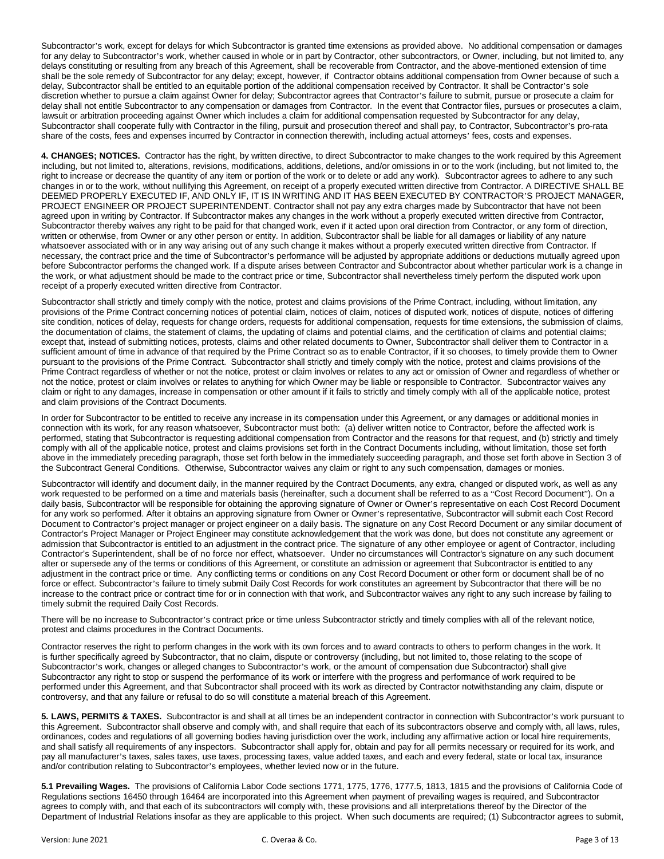Subcontractor's work, except for delays for which Subcontractor is granted time extensions as provided above. No additional compensation or damages for any delay to Subcontractor's work, whether caused in whole or in part by Contractor, other subcontractors, or Owner, including, but not limited to, any delays constituting or resulting from any breach of this Agreement, shall be recoverable from Contractor, and the above-mentioned extension of time shall be the sole remedy of Subcontractor for any delay; except, however, if Contractor obtains additional compensation from Owner because of such a delay, Subcontractor shall be entitled to an equitable portion of the additional compensation received by Contractor. It shall be Contractor's sole discretion whether to pursue a claim against Owner for delay; Subcontractor agrees that Contractor's failure to submit, pursue or prosecute a claim for delay shall not entitle Subcontractor to any compensation or damages from Contractor. In the event that Contractor files, pursues or prosecutes a claim, lawsuit or arbitration proceeding against Owner which includes a claim for additional compensation requested by Subcontractor for any delay, Subcontractor shall cooperate fully with Contractor in the filing, pursuit and prosecution thereof and shall pay, to Contractor, Subcontractor's pro-rata share of the costs, fees and expenses incurred by Contractor in connection therewith, including actual attorneys' fees, costs and expenses.

**4. CHANGES; NOTICES.** Contractor has the right, by written directive, to direct Subcontractor to make changes to the work required by this Agreement including, but not limited to, alterations, revisions, modifications, additions, deletions, and/or omissions in or to the work (including, but not limited to, the right to increase or decrease the quantity of any item or portion of the work or to delete or add any work). Subcontractor agrees to adhere to any such changes in or to the work, without nullifying this Agreement, on receipt of a properly executed written directive from Contractor. A DIRECTIVE SHALL BE DEEMED PROPERLY EXECUTED IF, AND ONLY IF, IT IS IN WRITING AND IT HAS BEEN EXECUTED BY CONTRACTOR'S PROJECT MANAGER, PROJECT ENGINEER OR PROJECT SUPERINTENDENT. Contractor shall not pay any extra charges made by Subcontractor that have not been agreed upon in writing by Contractor. If Subcontractor makes any changes in the work without a properly executed written directive from Contractor, Subcontractor thereby waives any right to be paid for that changed work, even if it acted upon oral direction from Contractor, or any form of direction, written or otherwise, from Owner or any other person or entity. In addition, Subcontractor shall be liable for all damages or liability of any nature whatsoever associated with or in any way arising out of any such change it makes without a properly executed written directive from Contractor. If necessary, the contract price and the time of Subcontractor's performance will be adjusted by appropriate additions or deductions mutually agreed upon before Subcontractor performs the changed work. If a dispute arises between Contractor and Subcontractor about whether particular work is a change in the work, or what adjustment should be made to the contract price or time, Subcontractor shall nevertheless timely perform the disputed work upon receipt of a properly executed written directive from Contractor.

Subcontractor shall strictly and timely comply with the notice, protest and claims provisions of the Prime Contract, including, without limitation, any provisions of the Prime Contract concerning notices of potential claim, notices of claim, notices of disputed work, notices of dispute, notices of differing site condition, notices of delay, requests for change orders, requests for additional compensation, requests for time extensions, the submission of claims, the documentation of claims, the statement of claims, the updating of claims and potential claims, and the certification of claims and potential claims; except that, instead of submitting notices, protests, claims and other related documents to Owner, Subcontractor shall deliver them to Contractor in a sufficient amount of time in advance of that required by the Prime Contract so as to enable Contractor, if it so chooses, to timely provide them to Owner pursuant to the provisions of the Prime Contract. Subcontractor shall strictly and timely comply with the notice, protest and claims provisions of the Prime Contract regardless of whether or not the notice, protest or claim involves or relates to any act or omission of Owner and regardless of whether or not the notice, protest or claim involves or relates to anything for which Owner may be liable or responsible to Contractor. Subcontractor waives any claim or right to any damages, increase in compensation or other amount if it fails to strictly and timely comply with all of the applicable notice, protest and claim provisions of the Contract Documents.

In order for Subcontractor to be entitled to receive any increase in its compensation under this Agreement, or any damages or additional monies in connection with its work, for any reason whatsoever, Subcontractor must both: (a) deliver written notice to Contractor, before the affected work is performed, stating that Subcontractor is requesting additional compensation from Contractor and the reasons for that request, and (b) strictly and timely comply with all of the applicable notice, protest and claims provisions set forth in the Contract Documents including, without limitation, those set forth above in the immediately preceding paragraph, those set forth below in the immediately succeeding paragraph, and those set forth above in Section 3 of the Subcontract General Conditions. Otherwise, Subcontractor waives any claim or right to any such compensation, damages or monies.

Subcontractor will identify and document daily, in the manner required by the Contract Documents, any extra, changed or disputed work, as well as any work requested to be performed on a time and materials basis (hereinafter, such a document shall be referred to as a "Cost Record Document"). On a daily basis, Subcontractor will be responsible for obtaining the approving signature of Owner or Owner's representative on each Cost Record Document for any work so performed. After it obtains an approving signature from Owner or Owner's representative, Subcontractor will submit each Cost Record Document to Contractor's project manager or project engineer on a daily basis. The signature on any Cost Record Document or any similar document of Contractor's Project Manager or Project Engineer may constitute acknowledgement that the work was done, but does not constitute any agreement or admission that Subcontractor is entitled to an adjustment in the contract price. The signature of any other employee or agent of Contractor, including Contractor's Superintendent, shall be of no force nor effect, whatsoever. Under no circumstances will Contractor's signature on any such document alter or supersede any of the terms or conditions of this Agreement, or constitute an admission or agreement that Subcontractor is entitled to any adjustment in the contract price or time. Any conflicting terms or conditions on any Cost Record Document or other form or document shall be of no force or effect. Subcontractor's failure to timely submit Daily Cost Records for work constitutes an agreement by Subcontractor that there will be no increase to the contract price or contract time for or in connection with that work, and Subcontractor waives any right to any such increase by failing to timely submit the required Daily Cost Records.

There will be no increase to Subcontractor's contract price or time unless Subcontractor strictly and timely complies with all of the relevant notice, protest and claims procedures in the Contract Documents.

Contractor reserves the right to perform changes in the work with its own forces and to award contracts to others to perform changes in the work. It is further specifically agreed by Subcontractor, that no claim, dispute or controversy (including, but not limited to, those relating to the scope of Subcontractor's work, changes or alleged changes to Subcontractor's work, or the amount of compensation due Subcontractor) shall give Subcontractor any right to stop or suspend the performance of its work or interfere with the progress and performance of work required to be performed under this Agreement, and that Subcontractor shall proceed with its work as directed by Contractor notwithstanding any claim, dispute or controversy, and that any failure or refusal to do so will constitute a material breach of this Agreement.

**5. LAWS, PERMITS & TAXES.** Subcontractor is and shall at all times be an independent contractor in connection with Subcontractor's work pursuant to this Agreement. Subcontractor shall observe and comply with, and shall require that each of its subcontractors observe and comply with, all laws, rules, ordinances, codes and regulations of all governing bodies having jurisdiction over the work, including any affirmative action or local hire requirements, and shall satisfy all requirements of any inspectors. Subcontractor shall apply for, obtain and pay for all permits necessary or required for its work, and pay all manufacturer's taxes, sales taxes, use taxes, processing taxes, value added taxes, and each and every federal, state or local tax, insurance and/or contribution relating to Subcontractor's employees, whether levied now or in the future.

**5.1 Prevailing Wages.** The provisions of California Labor Code sections 1771, 1775, 1776, 1777.5, 1813, 1815 and the provisions of California Code of Regulations sections 16450 through 16464 are incorporated into this Agreement when payment of prevailing wages is required, and Subcontractor agrees to comply with, and that each of its subcontractors will comply with, these provisions and all interpretations thereof by the Director of the Department of Industrial Relations insofar as they are applicable to this project. When such documents are required; (1) Subcontractor agrees to submit,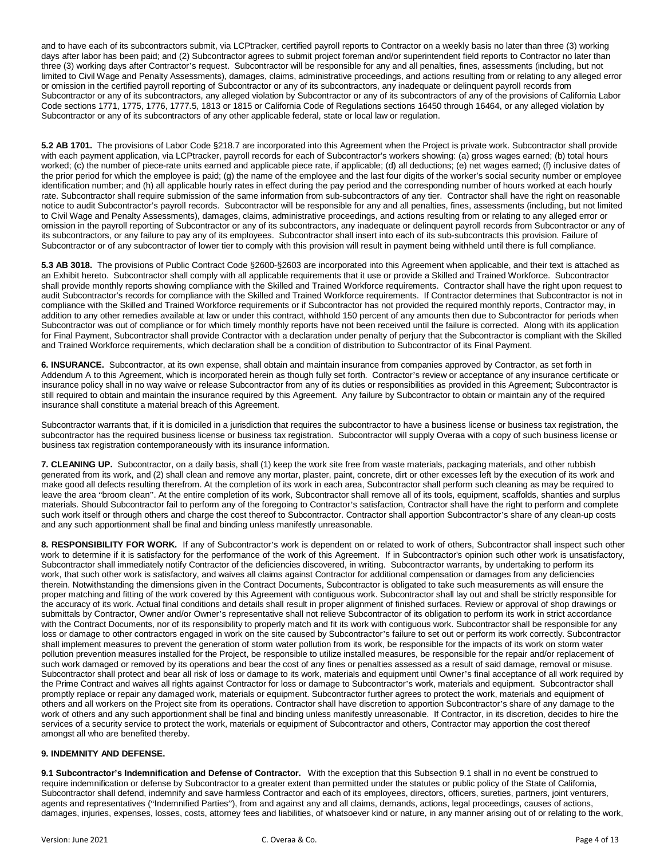and to have each of its subcontractors submit, via LCPtracker, certified payroll reports to Contractor on a weekly basis no later than three (3) working days after labor has been paid; and (2) Subcontractor agrees to submit project foreman and/or superintendent field reports to Contractor no later than three (3) working days after Contractor's request. Subcontractor will be responsible for any and all penalties, fines, assessments (including, but not limited to Civil Wage and Penalty Assessments), damages, claims, administrative proceedings, and actions resulting from or relating to any alleged error or omission in the certified payroll reporting of Subcontractor or any of its subcontractors, any inadequate or delinquent payroll records from Subcontractor or any of its subcontractors, any alleged violation by Subcontractor or any of its subcontractors of any of the provisions of California Labor Code sections 1771, 1775, 1776, 1777.5, 1813 or 1815 or California Code of Regulations sections 16450 through 16464, or any alleged violation by Subcontractor or any of its subcontractors of any other applicable federal, state or local law or regulation.

**5.2 AB 1701.** The provisions of Labor Code §218.7 are incorporated into this Agreement when the Project is private work. Subcontractor shall provide with each payment application, via LCPtracker, payroll records for each of Subcontractor's workers showing: (a) gross wages earned; (b) total hours worked; (c) the number of piece-rate units earned and applicable piece rate, if applicable; (d) all deductions; (e) net wages earned; (f) inclusive dates of the prior period for which the employee is paid; (g) the name of the employee and the last four digits of the worker's social security number or employee identification number; and (h) all applicable hourly rates in effect during the pay period and the corresponding number of hours worked at each hourly rate. Subcontractor shall require submission of the same information from sub-subcontractors of any tier. Contractor shall have the right on reasonable notice to audit Subcontractor's payroll records. Subcontractor will be responsible for any and all penalties, fines, assessments (including, but not limited to Civil Wage and Penalty Assessments), damages, claims, administrative proceedings, and actions resulting from or relating to any alleged error or omission in the payroll reporting of Subcontractor or any of its subcontractors, any inadequate or delinquent payroll records from Subcontractor or any of its subcontractors, or any failure to pay any of its employees. Subcontractor shall insert into each of its sub-subcontracts this provision. Failure of Subcontractor or of any subcontractor of lower tier to comply with this provision will result in payment being withheld until there is full compliance.

**5.3 AB 3018.** The provisions of Public Contract Code §2600-§2603 are incorporated into this Agreement when applicable, and their text is attached as an Exhibit hereto. Subcontractor shall comply with all applicable requirements that it use or provide a Skilled and Trained Workforce. Subcontractor shall provide monthly reports showing compliance with the Skilled and Trained Workforce requirements. Contractor shall have the right upon request to audit Subcontractor's records for compliance with the Skilled and Trained Workforce requirements. If Contractor determines that Subcontractor is not in compliance with the Skilled and Trained Workforce requirements or if Subcontractor has not provided the required monthly reports, Contractor may, in addition to any other remedies available at law or under this contract, withhold 150 percent of any amounts then due to Subcontractor for periods when Subcontractor was out of compliance or for which timely monthly reports have not been received until the failure is corrected. Along with its application for Final Payment, Subcontractor shall provide Contractor with a declaration under penalty of perjury that the Subcontractor is compliant with the Skilled and Trained Workforce requirements, which declaration shall be a condition of distribution to Subcontractor of its Final Payment.

**6. INSURANCE.** Subcontractor, at its own expense, shall obtain and maintain insurance from companies approved by Contractor, as set forth in Addendum A to this Agreement, which is incorporated herein as though fully set forth. Contractor's review or acceptance of any insurance certificate or insurance policy shall in no way waive or release Subcontractor from any of its duties or responsibilities as provided in this Agreement; Subcontractor is still required to obtain and maintain the insurance required by this Agreement. Any failure by Subcontractor to obtain or maintain any of the required insurance shall constitute a material breach of this Agreement.

Subcontractor warrants that, if it is domiciled in a jurisdiction that requires the subcontractor to have a business license or business tax registration, the subcontractor has the required business license or business tax registration. Subcontractor will supply Overaa with a copy of such business license or business tax registration contemporaneously with its insurance information.

**7. CLEANING UP.** Subcontractor, on a daily basis, shall (1) keep the work site free from waste materials, packaging materials, and other rubbish generated from its work, and (2) shall clean and remove any mortar, plaster, paint, concrete, dirt or other excesses left by the execution of its work and make good all defects resulting therefrom. At the completion of its work in each area, Subcontractor shall perform such cleaning as may be required to leave the area "broom clean". At the entire completion of its work, Subcontractor shall remove all of its tools, equipment, scaffolds, shanties and surplus materials. Should Subcontractor fail to perform any of the foregoing to Contractor's satisfaction, Contractor shall have the right to perform and complete such work itself or through others and charge the cost thereof to Subcontractor. Contractor shall apportion Subcontractor's share of any clean-up costs and any such apportionment shall be final and binding unless manifestly unreasonable.

**8. RESPONSIBILITY FOR WORK.** If any of Subcontractor's work is dependent on or related to work of others, Subcontractor shall inspect such other work to determine if it is satisfactory for the performance of the work of this Agreement. If in Subcontractor's opinion such other work is unsatisfactory, Subcontractor shall immediately notify Contractor of the deficiencies discovered, in writing. Subcontractor warrants, by undertaking to perform its work, that such other work is satisfactory, and waives all claims against Contractor for additional compensation or damages from any deficiencies therein. Notwithstanding the dimensions given in the Contract Documents, Subcontractor is obligated to take such measurements as will ensure the proper matching and fitting of the work covered by this Agreement with contiguous work. Subcontractor shall lay out and shall be strictly responsible for the accuracy of its work. Actual final conditions and details shall result in proper alignment of finished surfaces. Review or approval of shop drawings or submittals by Contractor, Owner and/or Owner's representative shall not relieve Subcontractor of its obligation to perform its work in strict accordance with the Contract Documents, nor of its responsibility to properly match and fit its work with contiguous work. Subcontractor shall be responsible for any loss or damage to other contractors engaged in work on the site caused by Subcontractor's failure to set out or perform its work correctly. Subcontractor shall implement measures to prevent the generation of storm water pollution from its work, be responsible for the impacts of its work on storm water pollution prevention measures installed for the Project, be responsible to utilize installed measures, be responsible for the repair and/or replacement of such work damaged or removed by its operations and bear the cost of any fines or penalties assessed as a result of said damage, removal or misuse. Subcontractor shall protect and bear all risk of loss or damage to its work, materials and equipment until Owner's final acceptance of all work required by the Prime Contract and waives all rights against Contractor for loss or damage to Subcontractor's work, materials and equipment. Subcontractor shall promptly replace or repair any damaged work, materials or equipment. Subcontractor further agrees to protect the work, materials and equipment of others and all workers on the Project site from its operations. Contractor shall have discretion to apportion Subcontractor's share of any damage to the work of others and any such apportionment shall be final and binding unless manifestly unreasonable. If Contractor, in its discretion, decides to hire the services of a security service to protect the work, materials or equipment of Subcontractor and others, Contractor may apportion the cost thereof amongst all who are benefited thereby.

# **9. INDEMNITY AND DEFENSE.**

**9.1 Subcontractor's Indemnification and Defense of Contractor.** With the exception that this Subsection 9.1 shall in no event be construed to require indemnification or defense by Subcontractor to a greater extent than permitted under the statutes or public policy of the State of California, Subcontractor shall defend, indemnify and save harmless Contractor and each of its employees, directors, officers, sureties, partners, joint venturers, agents and representatives ("Indemnified Parties"), from and against any and all claims, demands, actions, legal proceedings, causes of actions, damages, injuries, expenses, losses, costs, attorney fees and liabilities, of whatsoever kind or nature, in any manner arising out of or relating to the work,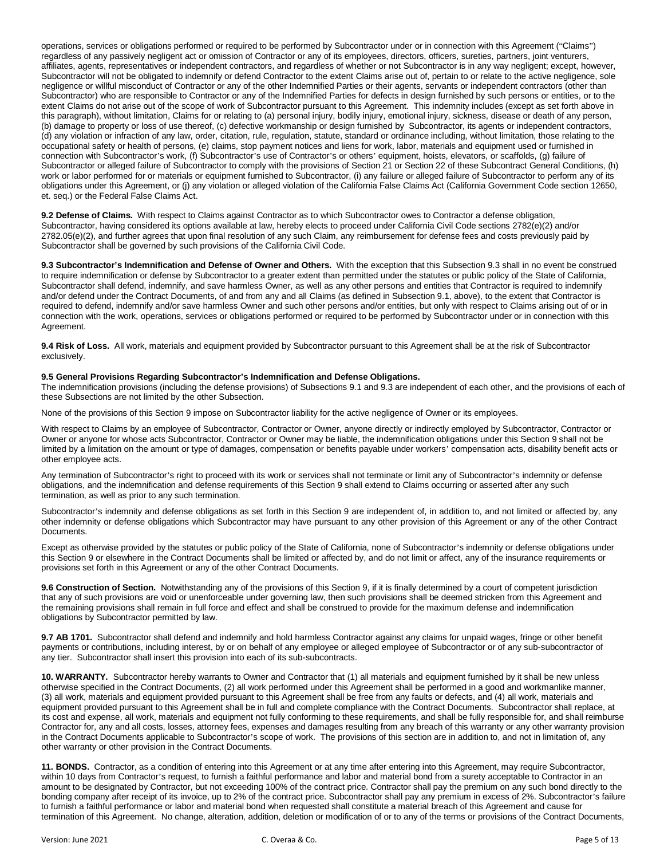operations, services or obligations performed or required to be performed by Subcontractor under or in connection with this Agreement ("Claims") regardless of any passively negligent act or omission of Contractor or any of its employees, directors, officers, sureties, partners, joint venturers, affiliates, agents, representatives or independent contractors, and regardless of whether or not Subcontractor is in any way negligent; except, however, Subcontractor will not be obligated to indemnify or defend Contractor to the extent Claims arise out of, pertain to or relate to the active negligence, sole negligence or willful misconduct of Contractor or any of the other Indemnified Parties or their agents, servants or independent contractors (other than Subcontractor) who are responsible to Contractor or any of the Indemnified Parties for defects in design furnished by such persons or entities, or to the extent Claims do not arise out of the scope of work of Subcontractor pursuant to this Agreement. This indemnity includes (except as set forth above in this paragraph), without limitation, Claims for or relating to (a) personal injury, bodily injury, emotional injury, sickness, disease or death of any person, (b) damage to property or loss of use thereof, (c) defective workmanship or design furnished by Subcontractor, its agents or independent contractors, (d) any violation or infraction of any law, order, citation, rule, regulation, statute, standard or ordinance including, without limitation, those relating to the occupational safety or health of persons, (e) claims, stop payment notices and liens for work, labor, materials and equipment used or furnished in connection with Subcontractor's work, (f) Subcontractor's use of Contractor's or others' equipment, hoists, elevators, or scaffolds, (g) failure of Subcontractor or alleged failure of Subcontractor to comply with the provisions of Section 21 or Section 22 of these Subcontract General Conditions, (h) work or labor performed for or materials or equipment furnished to Subcontractor, (i) any failure or alleged failure of Subcontractor to perform any of its obligations under this Agreement, or (j) any violation or alleged violation of the California False Claims Act (California Government Code section 12650, et. seq.) or the Federal False Claims Act.

**9.2 Defense of Claims.** With respect to Claims against Contractor as to which Subcontractor owes to Contractor a defense obligation, Subcontractor, having considered its options available at law, hereby elects to proceed under California Civil Code sections 2782(e)(2) and/or 2782.05(e)(2), and further agrees that upon final resolution of any such Claim, any reimbursement for defense fees and costs previously paid by Subcontractor shall be governed by such provisions of the California Civil Code.

**9.3 Subcontractor's Indemnification and Defense of Owner and Others.** With the exception that this Subsection 9.3 shall in no event be construed to require indemnification or defense by Subcontractor to a greater extent than permitted under the statutes or public policy of the State of California, Subcontractor shall defend, indemnify, and save harmless Owner, as well as any other persons and entities that Contractor is required to indemnify and/or defend under the Contract Documents, of and from any and all Claims (as defined in Subsection 9.1, above), to the extent that Contractor is required to defend, indemnify and/or save harmless Owner and such other persons and/or entities, but only with respect to Claims arising out of or in connection with the work, operations, services or obligations performed or required to be performed by Subcontractor under or in connection with this Agreement.

**9.4 Risk of Loss.** All work, materials and equipment provided by Subcontractor pursuant to this Agreement shall be at the risk of Subcontractor exclusively.

#### **9.5 General Provisions Regarding Subcontractor's Indemnification and Defense Obligations.**

The indemnification provisions (including the defense provisions) of Subsections 9.1 and 9.3 are independent of each other, and the provisions of each of these Subsections are not limited by the other Subsection.

None of the provisions of this Section 9 impose on Subcontractor liability for the active negligence of Owner or its employees.

With respect to Claims by an employee of Subcontractor, Contractor or Owner, anyone directly or indirectly employed by Subcontractor, Contractor or Owner or anyone for whose acts Subcontractor, Contractor or Owner may be liable, the indemnification obligations under this Section 9 shall not be limited by a limitation on the amount or type of damages, compensation or benefits payable under workers' compensation acts, disability benefit acts or other employee acts.

Any termination of Subcontractor's right to proceed with its work or services shall not terminate or limit any of Subcontractor's indemnity or defense obligations, and the indemnification and defense requirements of this Section 9 shall extend to Claims occurring or asserted after any such termination, as well as prior to any such termination.

Subcontractor's indemnity and defense obligations as set forth in this Section 9 are independent of, in addition to, and not limited or affected by, any other indemnity or defense obligations which Subcontractor may have pursuant to any other provision of this Agreement or any of the other Contract Documents.

Except as otherwise provided by the statutes or public policy of the State of California, none of Subcontractor's indemnity or defense obligations under this Section 9 or elsewhere in the Contract Documents shall be limited or affected by, and do not limit or affect, any of the insurance requirements or provisions set forth in this Agreement or any of the other Contract Documents.

**9.6 Construction of Section.** Notwithstanding any of the provisions of this Section 9, if it is finally determined by a court of competent jurisdiction that any of such provisions are void or unenforceable under governing law, then such provisions shall be deemed stricken from this Agreement and the remaining provisions shall remain in full force and effect and shall be construed to provide for the maximum defense and indemnification obligations by Subcontractor permitted by law.

**9.7 AB 1701.** Subcontractor shall defend and indemnify and hold harmless Contractor against any claims for unpaid wages, fringe or other benefit payments or contributions, including interest, by or on behalf of any employee or alleged employee of Subcontractor or of any sub-subcontractor of any tier. Subcontractor shall insert this provision into each of its sub-subcontracts.

**10. WARRANTY.** Subcontractor hereby warrants to Owner and Contractor that (1) all materials and equipment furnished by it shall be new unless otherwise specified in the Contract Documents, (2) all work performed under this Agreement shall be performed in a good and workmanlike manner, (3) all work, materials and equipment provided pursuant to this Agreement shall be free from any faults or defects, and (4) all work, materials and equipment provided pursuant to this Agreement shall be in full and complete compliance with the Contract Documents. Subcontractor shall replace, at its cost and expense, all work, materials and equipment not fully conforming to these requirements, and shall be fully responsible for, and shall reimburse Contractor for, any and all costs, losses, attorney fees, expenses and damages resulting from any breach of this warranty or any other warranty provision in the Contract Documents applicable to Subcontractor's scope of work. The provisions of this section are in addition to, and not in limitation of, any other warranty or other provision in the Contract Documents.

**11. BONDS.** Contractor, as a condition of entering into this Agreement or at any time after entering into this Agreement, may require Subcontractor, within 10 days from Contractor's request, to furnish a faithful performance and labor and material bond from a surety acceptable to Contractor in an amount to be designated by Contractor, but not exceeding 100% of the contract price. Contractor shall pay the premium on any such bond directly to the bonding company after receipt of its invoice, up to 2% of the contract price. Subcontractor shall pay any premium in excess of 2%. Subcontractor's failure to furnish a faithful performance or labor and material bond when requested shall constitute a material breach of this Agreement and cause for termination of this Agreement. No change, alteration, addition, deletion or modification of or to any of the terms or provisions of the Contract Documents,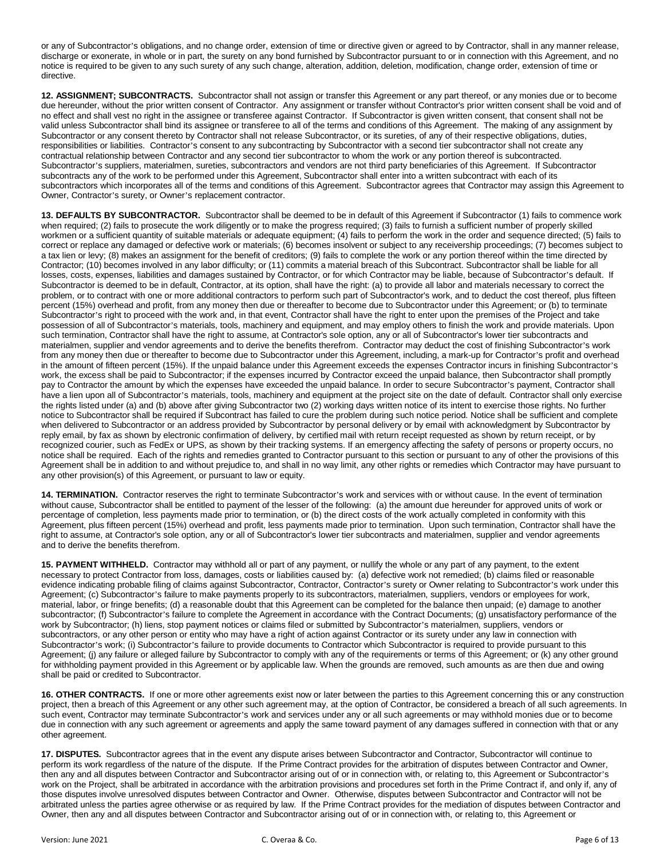or any of Subcontractor's obligations, and no change order, extension of time or directive given or agreed to by Contractor, shall in any manner release, discharge or exonerate, in whole or in part, the surety on any bond furnished by Subcontractor pursuant to or in connection with this Agreement, and no notice is required to be given to any such surety of any such change, alteration, addition, deletion, modification, change order, extension of time or directive.

**12. ASSIGNMENT; SUBCONTRACTS.** Subcontractor shall not assign or transfer this Agreement or any part thereof, or any monies due or to become due hereunder, without the prior written consent of Contractor. Any assignment or transfer without Contractor's prior written consent shall be void and of no effect and shall vest no right in the assignee or transferee against Contractor. If Subcontractor is given written consent, that consent shall not be valid unless Subcontractor shall bind its assignee or transferee to all of the terms and conditions of this Agreement. The making of any assignment by Subcontractor or any consent thereto by Contractor shall not release Subcontractor, or its sureties, of any of their respective obligations, duties, responsibilities or liabilities. Contractor's consent to any subcontracting by Subcontractor with a second tier subcontractor shall not create any contractual relationship between Contractor and any second tier subcontractor to whom the work or any portion thereof is subcontracted. Subcontractor's suppliers, materialmen, sureties, subcontractors and vendors are not third party beneficiaries of this Agreement. If Subcontractor subcontracts any of the work to be performed under this Agreement, Subcontractor shall enter into a written subcontract with each of its subcontractors which incorporates all of the terms and conditions of this Agreement. Subcontractor agrees that Contractor may assign this Agreement to Owner, Contractor's surety, or Owner's replacement contractor.

**13. DEFAULTS BY SUBCONTRACTOR.** Subcontractor shall be deemed to be in default of this Agreement if Subcontractor (1) fails to commence work when required; (2) fails to prosecute the work diligently or to make the progress required; (3) fails to furnish a sufficient number of properly skilled workmen or a sufficient quantity of suitable materials or adequate equipment; (4) fails to perform the work in the order and sequence directed; (5) fails to correct or replace any damaged or defective work or materials; (6) becomes insolvent or subject to any receivership proceedings; (7) becomes subject to a tax lien or levy; (8) makes an assignment for the benefit of creditors; (9) fails to complete the work or any portion thereof within the time directed by Contractor; (10) becomes involved in any labor difficulty; or (11) commits a material breach of this Subcontract. Subcontractor shall be liable for all losses, costs, expenses, liabilities and damages sustained by Contractor, or for which Contractor may be liable, because of Subcontractor's default. If Subcontractor is deemed to be in default, Contractor, at its option, shall have the right: (a) to provide all labor and materials necessary to correct the problem, or to contract with one or more additional contractors to perform such part of Subcontractor's work, and to deduct the cost thereof, plus fifteen percent (15%) overhead and profit, from any money then due or thereafter to become due to Subcontractor under this Agreement; or (b) to terminate Subcontractor's right to proceed with the work and, in that event, Contractor shall have the right to enter upon the premises of the Project and take possession of all of Subcontractor's materials, tools, machinery and equipment, and may employ others to finish the work and provide materials. Upon such termination, Contractor shall have the right to assume, at Contractor's sole option, any or all of Subcontractor's lower tier subcontracts and materialmen, supplier and vendor agreements and to derive the benefits therefrom. Contractor may deduct the cost of finishing Subcontractor's work from any money then due or thereafter to become due to Subcontractor under this Agreement, including, a mark-up for Contractor's profit and overhead in the amount of fifteen percent (15%). If the unpaid balance under this Agreement exceeds the expenses Contractor incurs in finishing Subcontractor's work, the excess shall be paid to Subcontractor; if the expenses incurred by Contractor exceed the unpaid balance, then Subcontractor shall promptly pay to Contractor the amount by which the expenses have exceeded the unpaid balance. In order to secure Subcontractor's payment, Contractor shall have a lien upon all of Subcontractor's materials, tools, machinery and equipment at the project site on the date of default. Contractor shall only exercise the rights listed under (a) and (b) above after giving Subcontractor two (2) working days written notice of its intent to exercise those rights. No further notice to Subcontractor shall be required if Subcontract has failed to cure the problem during such notice period. Notice shall be sufficient and complete when delivered to Subcontractor or an address provided by Subcontractor by personal delivery or by email with acknowledgment by Subcontractor by reply email, by fax as shown by electronic confirmation of delivery, by certified mail with return receipt requested as shown by return receipt, or by recognized courier, such as FedEx or UPS, as shown by their tracking systems. If an emergency affecting the safety of persons or property occurs, no notice shall be required. Each of the rights and remedies granted to Contractor pursuant to this section or pursuant to any of other the provisions of this Agreement shall be in addition to and without prejudice to, and shall in no way limit, any other rights or remedies which Contractor may have pursuant to any other provision(s) of this Agreement, or pursuant to law or equity.

**14. TERMINATION.** Contractor reserves the right to terminate Subcontractor's work and services with or without cause. In the event of termination without cause, Subcontractor shall be entitled to payment of the lesser of the following: (a) the amount due hereunder for approved units of work or percentage of completion, less payments made prior to termination, or (b) the direct costs of the work actually completed in conformity with this Agreement, plus fifteen percent (15%) overhead and profit, less payments made prior to termination. Upon such termination, Contractor shall have the right to assume, at Contractor's sole option, any or all of Subcontractor's lower tier subcontracts and materialmen, supplier and vendor agreements and to derive the benefits therefrom.

**15. PAYMENT WITHHELD.** Contractor may withhold all or part of any payment, or nullify the whole or any part of any payment, to the extent necessary to protect Contractor from loss, damages, costs or liabilities caused by: (a) defective work not remedied; (b) claims filed or reasonable evidence indicating probable filing of claims against Subcontractor, Contractor, Contractor's surety or Owner relating to Subcontractor's work under this Agreement; (c) Subcontractor's failure to make payments properly to its subcontractors, materialmen, suppliers, vendors or employees for work, material, labor, or fringe benefits; (d) a reasonable doubt that this Agreement can be completed for the balance then unpaid; (e) damage to another subcontractor; (f) Subcontractor's failure to complete the Agreement in accordance with the Contract Documents; (g) unsatisfactory performance of the work by Subcontractor; (h) liens, stop payment notices or claims filed or submitted by Subcontractor's materialmen, suppliers, vendors or subcontractors, or any other person or entity who may have a right of action against Contractor or its surety under any law in connection with Subcontractor's work; (i) Subcontractor's failure to provide documents to Contractor which Subcontractor is required to provide pursuant to this Agreement; (j) any failure or alleged failure by Subcontractor to comply with any of the requirements or terms of this Agreement; or (k) any other ground for withholding payment provided in this Agreement or by applicable law. When the grounds are removed, such amounts as are then due and owing shall be paid or credited to Subcontractor.

**16. OTHER CONTRACTS.** If one or more other agreements exist now or later between the parties to this Agreement concerning this or any construction project, then a breach of this Agreement or any other such agreement may, at the option of Contractor, be considered a breach of all such agreements. In such event, Contractor may terminate Subcontractor's work and services under any or all such agreements or may withhold monies due or to become due in connection with any such agreement or agreements and apply the same toward payment of any damages suffered in connection with that or any other agreement.

**17. DISPUTES.** Subcontractor agrees that in the event any dispute arises between Subcontractor and Contractor, Subcontractor will continue to perform its work regardless of the nature of the dispute. If the Prime Contract provides for the arbitration of disputes between Contractor and Owner, then any and all disputes between Contractor and Subcontractor arising out of or in connection with, or relating to, this Agreement or Subcontractor's work on the Project, shall be arbitrated in accordance with the arbitration provisions and procedures set forth in the Prime Contract if, and only if, any of those disputes involve unresolved disputes between Contractor and Owner. Otherwise, disputes between Subcontractor and Contractor will not be arbitrated unless the parties agree otherwise or as required by law. If the Prime Contract provides for the mediation of disputes between Contractor and Owner, then any and all disputes between Contractor and Subcontractor arising out of or in connection with, or relating to, this Agreement or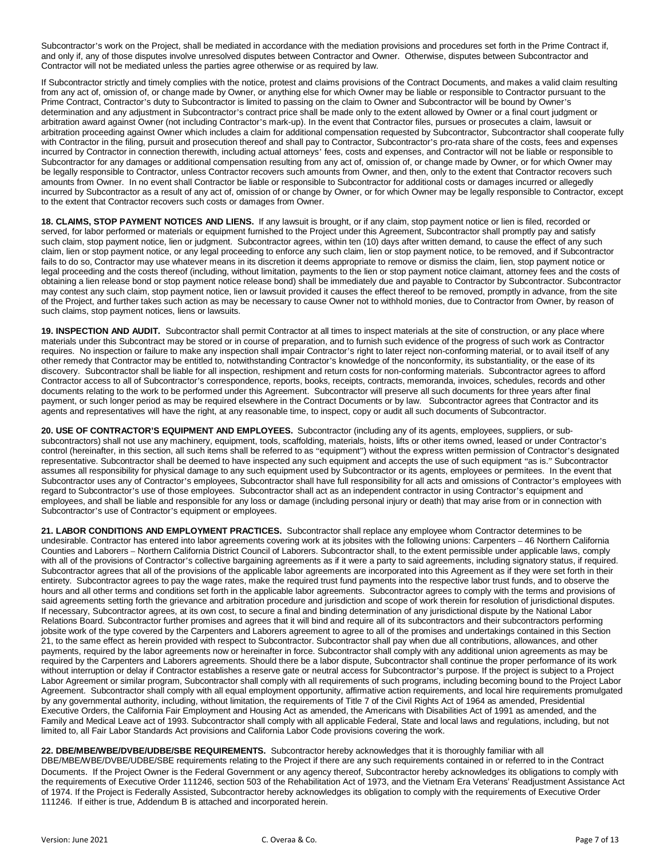Subcontractor's work on the Project, shall be mediated in accordance with the mediation provisions and procedures set forth in the Prime Contract if, and only if, any of those disputes involve unresolved disputes between Contractor and Owner. Otherwise, disputes between Subcontractor and Contractor will not be mediated unless the parties agree otherwise or as required by law.

If Subcontractor strictly and timely complies with the notice, protest and claims provisions of the Contract Documents, and makes a valid claim resulting from any act of, omission of, or change made by Owner, or anything else for which Owner may be liable or responsible to Contractor pursuant to the Prime Contract, Contractor's duty to Subcontractor is limited to passing on the claim to Owner and Subcontractor will be bound by Owner's determination and any adjustment in Subcontractor's contract price shall be made only to the extent allowed by Owner or a final court judgment or arbitration award against Owner (not including Contractor's mark-up). In the event that Contractor files, pursues or prosecutes a claim, lawsuit or arbitration proceeding against Owner which includes a claim for additional compensation requested by Subcontractor, Subcontractor shall cooperate fully with Contractor in the filing, pursuit and prosecution thereof and shall pay to Contractor, Subcontractor's pro-rata share of the costs, fees and expenses incurred by Contractor in connection therewith, including actual attorneys' fees, costs and expenses, and Contractor will not be liable or responsible to Subcontractor for any damages or additional compensation resulting from any act of, omission of, or change made by Owner, or for which Owner may be legally responsible to Contractor, unless Contractor recovers such amounts from Owner, and then, only to the extent that Contractor recovers such amounts from Owner. In no event shall Contractor be liable or responsible to Subcontractor for additional costs or damages incurred or allegedly incurred by Subcontractor as a result of any act of, omission of or change by Owner, or for which Owner may be legally responsible to Contractor, except to the extent that Contractor recovers such costs or damages from Owner.

**18. CLAIMS, STOP PAYMENT NOTICES AND LIENS.** If any lawsuit is brought, or if any claim, stop payment notice or lien is filed, recorded or served, for labor performed or materials or equipment furnished to the Project under this Agreement, Subcontractor shall promptly pay and satisfy such claim, stop payment notice, lien or judgment. Subcontractor agrees, within ten (10) days after written demand, to cause the effect of any such claim, lien or stop payment notice, or any legal proceeding to enforce any such claim, lien or stop payment notice, to be removed, and if Subcontractor fails to do so, Contractor may use whatever means in its discretion it deems appropriate to remove or dismiss the claim, lien, stop payment notice or legal proceeding and the costs thereof (including, without limitation, payments to the lien or stop payment notice claimant, attorney fees and the costs of obtaining a lien release bond or stop payment notice release bond) shall be immediately due and payable to Contractor by Subcontractor. Subcontractor may contest any such claim, stop payment notice, lien or lawsuit provided it causes the effect thereof to be removed, promptly in advance, from the site of the Project, and further takes such action as may be necessary to cause Owner not to withhold monies, due to Contractor from Owner, by reason of such claims, stop payment notices, liens or lawsuits.

**19. INSPECTION AND AUDIT.** Subcontractor shall permit Contractor at all times to inspect materials at the site of construction, or any place where materials under this Subcontract may be stored or in course of preparation, and to furnish such evidence of the progress of such work as Contractor requires. No inspection or failure to make any inspection shall impair Contractor's right to later reject non-conforming material, or to avail itself of any other remedy that Contractor may be entitled to, notwithstanding Contractor's knowledge of the nonconformity, its substantiality, or the ease of its discovery. Subcontractor shall be liable for all inspection, reshipment and return costs for non-conforming materials. Subcontractor agrees to afford Contractor access to all of Subcontractor's correspondence, reports, books, receipts, contracts, memoranda, invoices, schedules, records and other documents relating to the work to be performed under this Agreement. Subcontractor will preserve all such documents for three years after final payment, or such longer period as may be required elsewhere in the Contract Documents or by law. Subcontractor agrees that Contractor and its agents and representatives will have the right, at any reasonable time, to inspect, copy or audit all such documents of Subcontractor.

**20. USE OF CONTRACTOR'S EQUIPMENT AND EMPLOYEES.** Subcontractor (including any of its agents, employees, suppliers, or subsubcontractors) shall not use any machinery, equipment, tools, scaffolding, materials, hoists, lifts or other items owned, leased or under Contractor's control (hereinafter, in this section, all such items shall be referred to as "equipment") without the express written permission of Contractor's designated representative. Subcontractor shall be deemed to have inspected any such equipment and accepts the use of such equipment "as is." Subcontractor assumes all responsibility for physical damage to any such equipment used by Subcontractor or its agents, employees or permitees. In the event that Subcontractor uses any of Contractor's employees, Subcontractor shall have full responsibility for all acts and omissions of Contractor's employees with regard to Subcontractor's use of those employees. Subcontractor shall act as an independent contractor in using Contractor's equipment and employees, and shall be liable and responsible for any loss or damage (including personal injury or death) that may arise from or in connection with Subcontractor's use of Contractor's equipment or employees.

**21. LABOR CONDITIONS AND EMPLOYMENT PRACTICES.** Subcontractor shall replace any employee whom Contractor determines to be undesirable. Contractor has entered into labor agreements covering work at its jobsites with the following unions: Carpenters – 46 Northern California Counties and Laborers – Northern California District Council of Laborers. Subcontractor shall, to the extent permissible under applicable laws, comply with all of the provisions of Contractor's collective bargaining agreements as if it were a party to said agreements, including signatory status, if required. Subcontractor agrees that all of the provisions of the applicable labor agreements are incorporated into this Agreement as if they were set forth in their entirety. Subcontractor agrees to pay the wage rates, make the required trust fund payments into the respective labor trust funds, and to observe the hours and all other terms and conditions set forth in the applicable labor agreements. Subcontractor agrees to comply with the terms and provisions of said agreements setting forth the grievance and arbitration procedure and jurisdiction and scope of work therein for resolution of jurisdictional disputes. If necessary, Subcontractor agrees, at its own cost, to secure a final and binding determination of any jurisdictional dispute by the National Labor Relations Board. Subcontractor further promises and agrees that it will bind and require all of its subcontractors and their subcontractors performing jobsite work of the type covered by the Carpenters and Laborers agreement to agree to all of the promises and undertakings contained in this Section 21, to the same effect as herein provided with respect to Subcontractor. Subcontractor shall pay when due all contributions, allowances, and other payments, required by the labor agreements now or hereinafter in force. Subcontractor shall comply with any additional union agreements as may be required by the Carpenters and Laborers agreements. Should there be a labor dispute, Subcontractor shall continue the proper performance of its work without interruption or delay if Contractor establishes a reserve gate or neutral access for Subcontractor's purpose. If the project is subject to a Project Labor Agreement or similar program, Subcontractor shall comply with all requirements of such programs, including becoming bound to the Project Labor Agreement. Subcontractor shall comply with all equal employment opportunity, affirmative action requirements, and local hire requirements promulgated by any governmental authority, including, without limitation, the requirements of Title 7 of the Civil Rights Act of 1964 as amended, Presidential Executive Orders, the California Fair Employment and Housing Act as amended, the Americans with Disabilities Act of 1991 as amended, and the Family and Medical Leave act of 1993. Subcontractor shall comply with all applicable Federal, State and local laws and regulations, including, but not limited to, all Fair Labor Standards Act provisions and California Labor Code provisions covering the work.

# **22. DBE/MBE/WBE/DVBE/UDBE/SBE REQUIREMENTS.** Subcontractor hereby acknowledges that it is thoroughly familiar with all

DBE/MBE/WBE/DVBE/UDBE/SBE requirements relating to the Project if there are any such requirements contained in or referred to in the Contract Documents. If the Project Owner is the Federal Government or any agency thereof, Subcontractor hereby acknowledges its obligations to comply with the requirements of Executive Order 111246, section 503 of the Rehabilitation Act of 1973, and the Vietnam Era Veterans' Readjustment Assistance Act of 1974. If the Project is Federally Assisted, Subcontractor hereby acknowledges its obligation to comply with the requirements of Executive Order 111246. If either is true, Addendum B is attached and incorporated herein.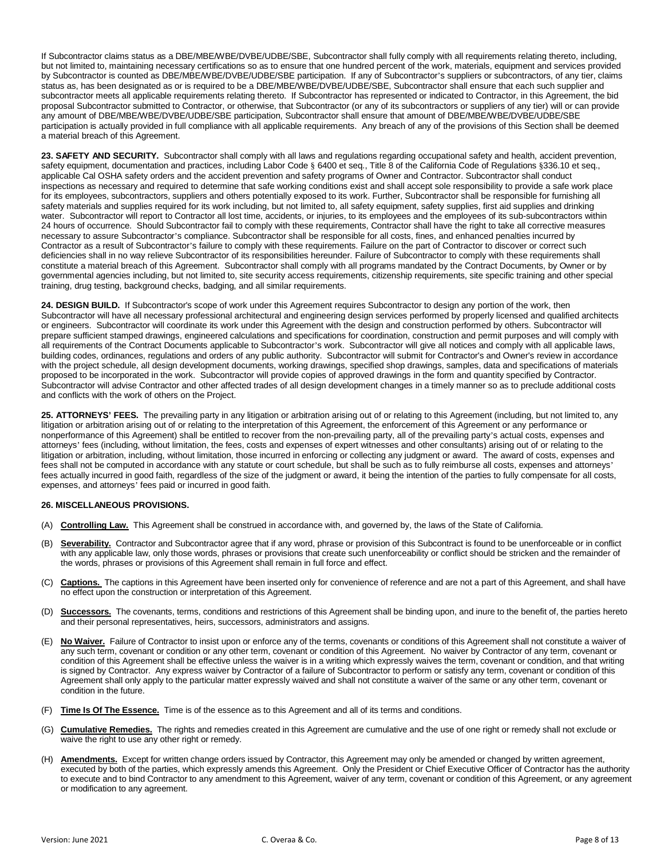If Subcontractor claims status as a DBE/MBE/WBE/DVBE/UDBE/SBE, Subcontractor shall fully comply with all requirements relating thereto, including, but not limited to, maintaining necessary certifications so as to ensure that one hundred percent of the work, materials, equipment and services provided by Subcontractor is counted as DBE/MBE/WBE/DVBE/UDBE/SBE participation. If any of Subcontractor's suppliers or subcontractors, of any tier, claims status as, has been designated as or is required to be a DBE/MBE/WBE/DVBE/UDBE/SBE, Subcontractor shall ensure that each such supplier and subcontractor meets all applicable requirements relating thereto. If Subcontractor has represented or indicated to Contractor, in this Agreement, the bid proposal Subcontractor submitted to Contractor, or otherwise, that Subcontractor (or any of its subcontractors or suppliers of any tier) will or can provide any amount of DBE/MBE/WBE/DVBE/UDBE/SBE participation, Subcontractor shall ensure that amount of DBE/MBE/WBE/DVBE/UDBE/SBE participation is actually provided in full compliance with all applicable requirements. Any breach of any of the provisions of this Section shall be deemed a material breach of this Agreement.

**23. SAFETY AND SECURITY.** Subcontractor shall comply with all laws and regulations regarding occupational safety and health, accident prevention, safety equipment, documentation and practices, including Labor Code § 6400 et seq., Title 8 of the California Code of Regulations §336.10 et seq., applicable Cal OSHA safety orders and the accident prevention and safety programs of Owner and Contractor. Subcontractor shall conduct inspections as necessary and required to determine that safe working conditions exist and shall accept sole responsibility to provide a safe work place for its employees, subcontractors, suppliers and others potentially exposed to its work. Further, Subcontractor shall be responsible for furnishing all safety materials and supplies required for its work including, but not limited to, all safety equipment, safety supplies, first aid supplies and drinking water. Subcontractor will report to Contractor all lost time, accidents, or injuries, to its employees and the employees of its sub-subcontractors within 24 hours of occurrence. Should Subcontractor fail to comply with these requirements, Contractor shall have the right to take all corrective measures necessary to assure Subcontractor's compliance. Subcontractor shall be responsible for all costs, fines, and enhanced penalties incurred by Contractor as a result of Subcontractor's failure to comply with these requirements. Failure on the part of Contractor to discover or correct such deficiencies shall in no way relieve Subcontractor of its responsibilities hereunder. Failure of Subcontractor to comply with these requirements shall constitute a material breach of this Agreement. Subcontractor shall comply with all programs mandated by the Contract Documents, by Owner or by governmental agencies including, but not limited to, site security access requirements, citizenship requirements, site specific training and other special training, drug testing, background checks, badging, and all similar requirements.

**24. DESIGN BUILD.** If Subcontractor's scope of work under this Agreement requires Subcontractor to design any portion of the work, then Subcontractor will have all necessary professional architectural and engineering design services performed by properly licensed and qualified architects or engineers. Subcontractor will coordinate its work under this Agreement with the design and construction performed by others. Subcontractor will prepare sufficient stamped drawings, engineered calculations and specifications for coordination, construction and permit purposes and will comply with all requirements of the Contract Documents applicable to Subcontractor's work. Subcontractor will give all notices and comply with all applicable laws, building codes, ordinances, regulations and orders of any public authority. Subcontractor will submit for Contractor's and Owner's review in accordance with the project schedule, all design development documents, working drawings, specified shop drawings, samples, data and specifications of materials proposed to be incorporated in the work. Subcontractor will provide copies of approved drawings in the form and quantity specified by Contractor. Subcontractor will advise Contractor and other affected trades of all design development changes in a timely manner so as to preclude additional costs and conflicts with the work of others on the Project.

**25. ATTORNEYS' FEES.** The prevailing party in any litigation or arbitration arising out of or relating to this Agreement (including, but not limited to, any litigation or arbitration arising out of or relating to the interpretation of this Agreement, the enforcement of this Agreement or any performance or nonperformance of this Agreement) shall be entitled to recover from the non-prevailing party, all of the prevailing party's actual costs, expenses and attorneys' fees (including, without limitation, the fees, costs and expenses of expert witnesses and other consultants) arising out of or relating to the litigation or arbitration, including, without limitation, those incurred in enforcing or collecting any judgment or award. The award of costs, expenses and fees shall not be computed in accordance with any statute or court schedule, but shall be such as to fully reimburse all costs, expenses and attorneys' fees actually incurred in good faith, regardless of the size of the judgment or award, it being the intention of the parties to fully compensate for all costs, expenses, and attorneys' fees paid or incurred in good faith.

# **26. MISCELLANEOUS PROVISIONS.**

- (A) **Controlling Law.** This Agreement shall be construed in accordance with, and governed by, the laws of the State of California.
- Severability. Contractor and Subcontractor agree that if any word, phrase or provision of this Subcontract is found to be unenforceable or in conflict with any applicable law, only those words, phrases or provisions that create such unenforceability or conflict should be stricken and the remainder of the words, phrases or provisions of this Agreement shall remain in full force and effect.
- (C) **Captions.** The captions in this Agreement have been inserted only for convenience of reference and are not a part of this Agreement, and shall have no effect upon the construction or interpretation of this Agreement.
- (D) **Successors.** The covenants, terms, conditions and restrictions of this Agreement shall be binding upon, and inure to the benefit of, the parties hereto and their personal representatives, heirs, successors, administrators and assigns.
- (E) **No Waiver.** Failure of Contractor to insist upon or enforce any of the terms, covenants or conditions of this Agreement shall not constitute a waiver of any such term, covenant or condition or any other term, covenant or condition of this Agreement. No waiver by Contractor of any term, covenant or condition of this Agreement shall be effective unless the waiver is in a writing which expressly waives the term, covenant or condition, and that writing is signed by Contractor. Any express waiver by Contractor of a failure of Subcontractor to perform or satisfy any term, covenant or condition of this Agreement shall only apply to the particular matter expressly waived and shall not constitute a waiver of the same or any other term, covenant or condition in the future.
- (F) **Time Is Of The Essence.** Time is of the essence as to this Agreement and all of its terms and conditions.
- (G) **Cumulative Remedies.** The rights and remedies created in this Agreement are cumulative and the use of one right or remedy shall not exclude or waive the right to use any other right or remedy.
- (H) **Amendments.** Except for written change orders issued by Contractor, this Agreement may only be amended or changed by written agreement, executed by both of the parties, which expressly amends this Agreement. Only the President or Chief Executive Officer of Contractor has the authority to execute and to bind Contractor to any amendment to this Agreement, waiver of any term, covenant or condition of this Agreement, or any agreement or modification to any agreement.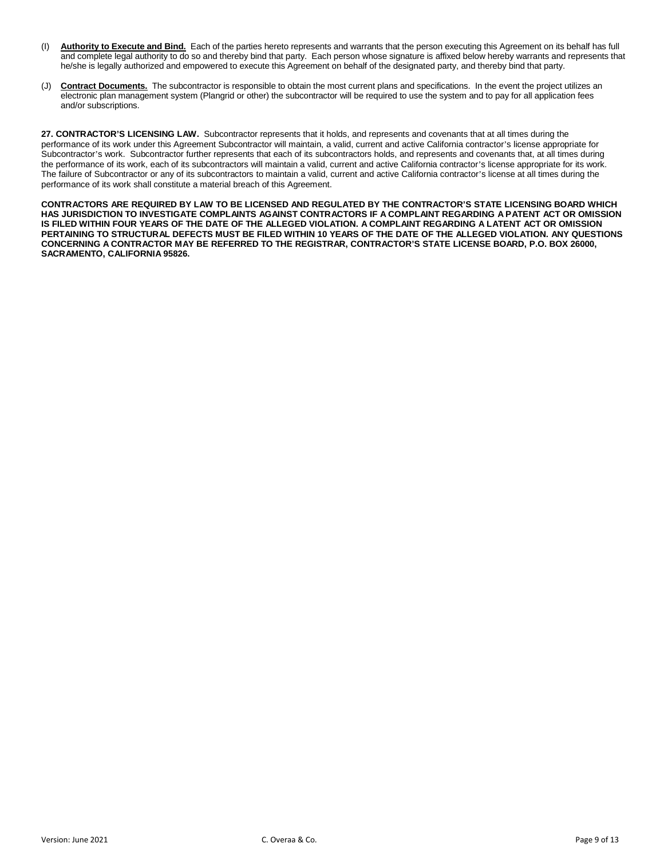- (I) **Authority to Execute and Bind.** Each of the parties hereto represents and warrants that the person executing this Agreement on its behalf has full and complete legal authority to do so and thereby bind that party. Each person whose signature is affixed below hereby warrants and represents that he/she is legally authorized and empowered to execute this Agreement on behalf of the designated party, and thereby bind that party.
- (J) **Contract Documents.** The subcontractor is responsible to obtain the most current plans and specifications. In the event the project utilizes an electronic plan management system (Plangrid or other) the subcontractor will be required to use the system and to pay for all application fees and/or subscriptions.

**27. CONTRACTOR'S LICENSING LAW.** Subcontractor represents that it holds, and represents and covenants that at all times during the performance of its work under this Agreement Subcontractor will maintain, a valid, current and active California contractor's license appropriate for Subcontractor's work. Subcontractor further represents that each of its subcontractors holds, and represents and covenants that, at all times during the performance of its work, each of its subcontractors will maintain a valid, current and active California contractor's license appropriate for its work. The failure of Subcontractor or any of its subcontractors to maintain a valid, current and active California contractor's license at all times during the performance of its work shall constitute a material breach of this Agreement.

**CONTRACTORS ARE REQUIRED BY LAW TO BE LICENSED AND REGULATED BY THE CONTRACTOR'S STATE LICENSING BOARD WHICH HAS JURISDICTION TO INVESTIGATE COMPLAINTS AGAINST CONTRACTORS IF A COMPLAINT REGARDING A PATENT ACT OR OMISSION IS FILED WITHIN FOUR YEARS OF THE DATE OF THE ALLEGED VIOLATION. A COMPLAINT REGARDING A LATENT ACT OR OMISSION PERTAINING TO STRUCTURAL DEFECTS MUST BE FILED WITHIN 10 YEARS OF THE DATE OF THE ALLEGED VIOLATION. ANY QUESTIONS CONCERNING A CONTRACTOR MAY BE REFERRED TO THE REGISTRAR, CONTRACTOR'S STATE LICENSE BOARD, P.O. BOX 26000, SACRAMENTO, CALIFORNIA 95826.**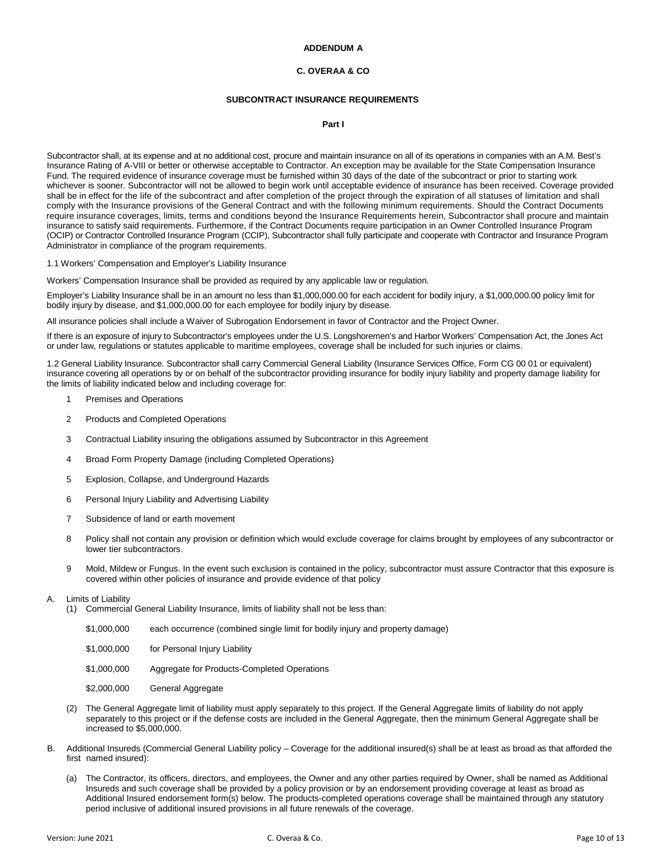# **ADDENDUM A**

#### **C. OVERAA & CO**

#### **SUBCONTRACT INSURANCE REQUIREMENTS**

**Part I**

Subcontractor shall, at its expense and at no additional cost, procure and maintain insurance on all of its operations in companies with an A.M. Best's Insurance Rating of A-VIII or better or otherwise acceptable to Contractor. An exception may be available for the State Compensation Insurance Fund. The required evidence of insurance coverage must be furnished within 30 days of the date of the subcontract or prior to starting work whichever is sooner. Subcontractor will not be allowed to begin work until acceptable evidence of insurance has been received. Coverage provided shall be in effect for the life of the subcontract and after completion of the project through the expiration of all statuses of limitation and shall comply with the Insurance provisions of the General Contract and with the following minimum requirements. Should the Contract Documents require insurance coverages, limits, terms and conditions beyond the Insurance Requirements herein, Subcontractor shall procure and maintain insurance to satisfy said requirements. Furthermore, if the Contract Documents require participation in an Owner Controlled Insurance Program (OCIP) or Contractor Controlled Insurance Program (CCIP), Subcontractor shall fully participate and cooperate with Contractor and Insurance Program Administrator in compliance of the program requirements.

1.1 Workers' Compensation and Employer's Liability Insurance

Workers' Compensation Insurance shall be provided as required by any applicable law or regulation.

Employer's Liability Insurance shall be in an amount no less than \$1,000,000.00 for each accident for bodily injury, a \$1,000,000.00 policy limit for bodily injury by disease, and \$1,000,000.00 for each employee for bodily injury by disease.

All insurance policies shall include a Waiver of Subrogation Endorsement in favor of Contractor and the Project Owner.

If there is an exposure of injury to Subcontractor's employees under the U.S. Longshoremen's and Harbor Workers' Compensation Act, the Jones Act or under law, regulations or statutes applicable to maritime employees, coverage shall be included for such injuries or claims.

1.2 General Liability Insurance. Subcontractor shall carry Commercial General Liability (Insurance Services Office, Form CG 00 01 or equivalent) insurance covering all operations by or on behalf of the subcontractor providing insurance for bodily injury liability and property damage liability for the limits of liability indicated below and including coverage for:

- 1 Premises and Operations
- 2 Products and Completed Operations
- 3 Contractual Liability insuring the obligations assumed by Subcontractor in this Agreement
- 4 Broad Form Property Damage (including Completed Operations)
- 5 Explosion, Collapse, and Underground Hazards
- 6 Personal Injury Liability and Advertising Liability
- 7 Subsidence of land or earth movement
- 8 Policy shall not contain any provision or definition which would exclude coverage for claims brought by employees of any subcontractor or lower tier subcontractors.
- 9 Mold, Mildew or Fungus. In the event such exclusion is contained in the policy, subcontractor must assure Contractor that this exposure is covered within other policies of insurance and provide evidence of that policy

#### A. Limits of Liability

- (1) Commercial General Liability Insurance, limits of liability shall not be less than:
	- \$1,000,000 each occurrence (combined single limit for bodily injury and property damage)
	- \$1,000,000 for Personal Injury Liability
	- \$1,000,000 Aggregate for Products-Completed Operations
	- \$2,000,000 General Aggregate
- (2) The General Aggregate limit of liability must apply separately to this project. If the General Aggregate limits of liability do not apply separately to this project or if the defense costs are included in the General Aggregate, then the minimum General Aggregate shall be increased to \$5,000,000.
- B. Additional Insureds (Commercial General Liability policy Coverage for the additional insured(s) shall be at least as broad as that afforded the first named insured):
	- (a) The Contractor, its officers, directors, and employees, the Owner and any other parties required by Owner, shall be named as Additional Insureds and such coverage shall be provided by a policy provision or by an endorsement providing coverage at least as broad as Additional Insured endorsement form(s) below. The products-completed operations coverage shall be maintained through any statutory period inclusive of additional insured provisions in all future renewals of the coverage.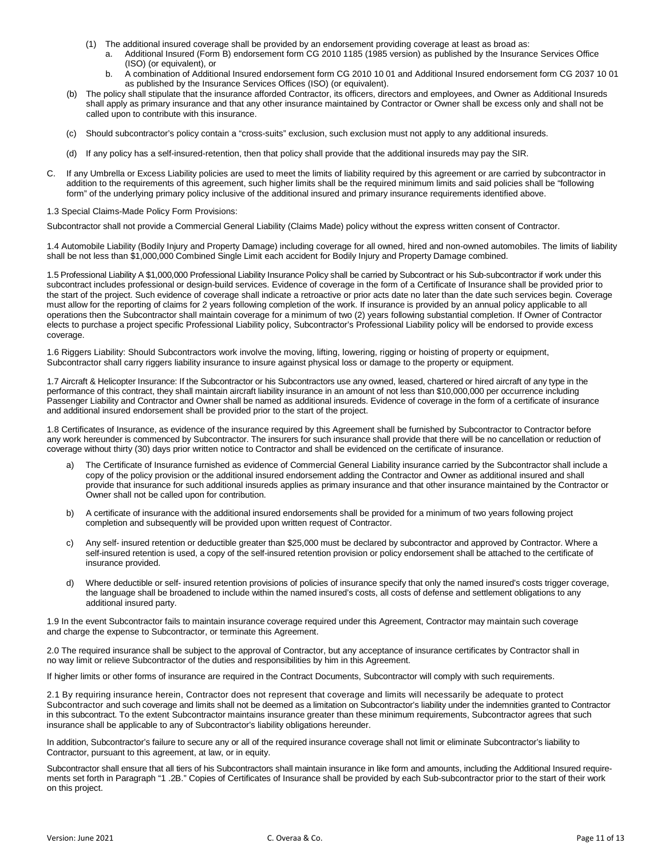- (1) The additional insured coverage shall be provided by an endorsement providing coverage at least as broad as:
	- a. Additional Insured (Form B) endorsement form CG 2010 1185 (1985 version) as published by the Insurance Services Office (ISO) (or equivalent), or
	- b. A combination of Additional Insured endorsement form CG 2010 10 01 and Additional Insured endorsement form CG 2037 10 01 as published by the Insurance Services Offices (ISO) (or equivalent).
- (b) The policy shall stipulate that the insurance afforded Contractor, its officers, directors and employees, and Owner as Additional Insureds shall apply as primary insurance and that any other insurance maintained by Contractor or Owner shall be excess only and shall not be called upon to contribute with this insurance.
- (c) Should subcontractor's policy contain a "cross-suits" exclusion, such exclusion must not apply to any additional insureds.
- (d) If any policy has a self-insured-retention, then that policy shall provide that the additional insureds may pay the SIR.
- C. If any Umbrella or Excess Liability policies are used to meet the limits of liability required by this agreement or are carried by subcontractor in addition to the requirements of this agreement, such higher limits shall be the required minimum limits and said policies shall be "following form" of the underlying primary policy inclusive of the additional insured and primary insurance requirements identified above.

#### 1.3 Special Claims-Made Policy Form Provisions:

Subcontractor shall not provide a Commercial General Liability (Claims Made) policy without the express written consent of Contractor.

1.4 Automobile Liability (Bodily Injury and Property Damage) including coverage for all owned, hired and non-owned automobiles. The limits of liability shall be not less than \$1,000,000 Combined Single Limit each accident for Bodily Injury and Property Damage combined.

1.5 Professional Liability A \$1,000,000 Professional Liability Insurance Policy shall be carried by Subcontract or his Sub-subcontractor if work under this subcontract includes professional or design-build services. Evidence of coverage in the form of a Certificate of Insurance shall be provided prior to the start of the project. Such evidence of coverage shall indicate a retroactive or prior acts date no later than the date such services begin. Coverage must allow for the reporting of claims for 2 years following completion of the work. If insurance is provided by an annual policy applicable to all operations then the Subcontractor shall maintain coverage for a minimum of two (2) years following substantial completion. If Owner of Contractor elects to purchase a project specific Professional Liability policy, Subcontractor's Professional Liability policy will be endorsed to provide excess coverage.

1.6 Riggers Liability: Should Subcontractors work involve the moving, lifting, lowering, rigging or hoisting of property or equipment, Subcontractor shall carry riggers liability insurance to insure against physical loss or damage to the property or equipment.

1.7 Aircraft & Helicopter Insurance: If the Subcontractor or his Subcontractors use any owned, leased, chartered or hired aircraft of any type in the performance of this contract, they shall maintain aircraft liability insurance in an amount of not less than \$10,000,000 per occurrence including Passenger Liability and Contractor and Owner shall be named as additional insureds. Evidence of coverage in the form of a certificate of insurance and additional insured endorsement shall be provided prior to the start of the project.

1.8 Certificates of Insurance, as evidence of the insurance required by this Agreement shall be furnished by Subcontractor to Contractor before any work hereunder is commenced by Subcontractor. The insurers for such insurance shall provide that there will be no cancellation or reduction of coverage without thirty (30) days prior written notice to Contractor and shall be evidenced on the certificate of insurance.

- a) The Certificate of Insurance furnished as evidence of Commercial General Liability insurance carried by the Subcontractor shall include a copy of the policy provision or the additional insured endorsement adding the Contractor and Owner as additional insured and shall provide that insurance for such additional insureds applies as primary insurance and that other insurance maintained by the Contractor or Owner shall not be called upon for contribution.
- b) A certificate of insurance with the additional insured endorsements shall be provided for a minimum of two years following project completion and subsequently will be provided upon written request of Contractor.
- c) Any self- insured retention or deductible greater than \$25,000 must be declared by subcontractor and approved by Contractor. Where a self-insured retention is used, a copy of the self-insured retention provision or policy endorsement shall be attached to the certificate of insurance provided.
- d) Where deductible or self- insured retention provisions of policies of insurance specify that only the named insured's costs trigger coverage, the language shall be broadened to include within the named insured's costs, all costs of defense and settlement obligations to any additional insured party.

1.9 In the event Subcontractor fails to maintain insurance coverage required under this Agreement, Contractor may maintain such coverage and charge the expense to Subcontractor, or terminate this Agreement.

2.0 The required insurance shall be subject to the approval of Contractor, but any acceptance of insurance certificates by Contractor shall in no way limit or relieve Subcontractor of the duties and responsibilities by him in this Agreement.

If higher limits or other forms of insurance are required in the Contract Documents, Subcontractor will comply with such requirements.

2.1 By requiring insurance herein, Contractor does not represent that coverage and limits will necessarily be adequate to protect Subcontractor and such coverage and limits shall not be deemed as a limitation on Subcontractor's liability under the indemnities granted to Contractor in this subcontract. To the extent Subcontractor maintains insurance greater than these minimum requirements, Subcontractor agrees that such insurance shall be applicable to any of Subcontractor's liability obligations hereunder.

In addition, Subcontractor's failure to secure any or all of the required insurance coverage shall not limit or eliminate Subcontractor's liability to Contractor, pursuant to this agreement, at law, or in equity.

Subcontractor shall ensure that all tiers of his Subcontractors shall maintain insurance in like form and amounts, including the Additional Insured requirements set forth in Paragraph "1 .2B." Copies of Certificates of Insurance shall be provided by each Sub-subcontractor prior to the start of their work on this project.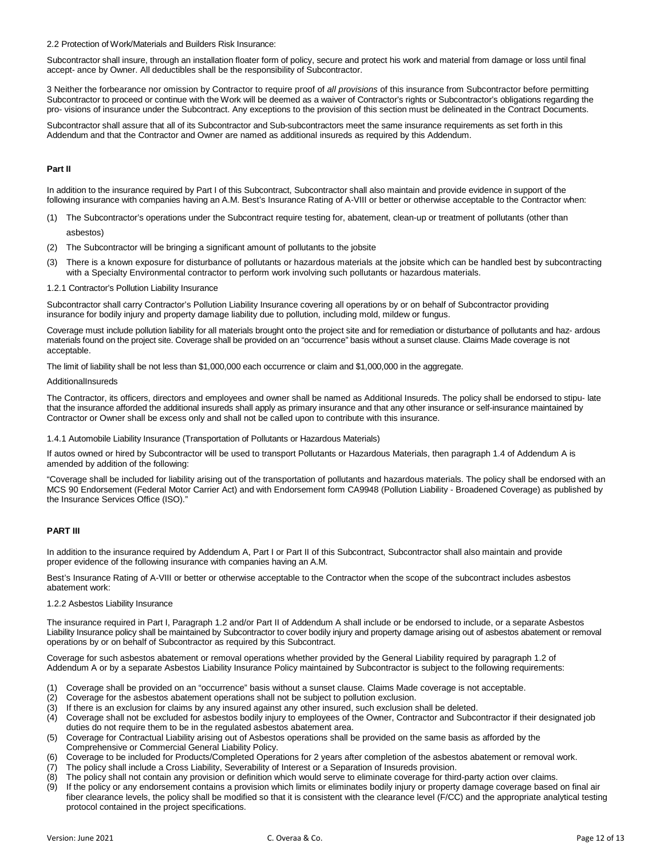2.2 Protection of Work/Materials and Builders Risk Insurance:

Subcontractor shall insure, through an installation floater form of policy, secure and protect his work and material from damage or loss until final accept- ance by Owner. All deductibles shall be the responsibility of Subcontractor.

3 Neither the forbearance nor omission by Contractor to require proof of *all provisions* of this insurance from Subcontractor before permitting Subcontractor to proceed or continue with the Work will be deemed as a waiver of Contractor's rights or Subcontractor's obligations regarding the pro- visions of insurance under the Subcontract. Any exceptions to the provision of this section must be delineated in the Contract Documents.

Subcontractor shall assure that all of its Subcontractor and Sub-subcontractors meet the same insurance requirements as set forth in this Addendum and that the Contractor and Owner are named as additional insureds as required by this Addendum.

# **Part II**

In addition to the insurance required by Part I of this Subcontract, Subcontractor shall also maintain and provide evidence in support of the following insurance with companies having an A.M. Best's Insurance Rating of A-VIII or better or otherwise acceptable to the Contractor when:

- (1) The Subcontractor's operations under the Subcontract require testing for, abatement, clean-up or treatment of pollutants (other than asbestos)
- (2) The Subcontractor will be bringing a significant amount of pollutants to the jobsite
- (3) There is a known exposure for disturbance of pollutants or hazardous materials at the jobsite which can be handled best by subcontracting with a Specialty Environmental contractor to perform work involving such pollutants or hazardous materials.
- 1.2.1 Contractor's Pollution Liability Insurance

Subcontractor shall carry Contractor's Pollution Liability Insurance covering all operations by or on behalf of Subcontractor providing insurance for bodily injury and property damage liability due to pollution, including mold, mildew or fungus.

Coverage must include pollution liability for all materials brought onto the project site and for remediation or disturbance of pollutants and haz- ardous materials found on the project site. Coverage shall be provided on an "occurrence" basis without a sunset clause. Claims Made coverage is not acceptable.

The limit of liability shall be not less than \$1,000,000 each occurrence or claim and \$1,000,000 in the aggregate.

#### AdditionalInsureds

The Contractor, its officers, directors and employees and owner shall be named as Additional Insureds. The policy shall be endorsed to stipu- late that the insurance afforded the additional insureds shall apply as primary insurance and that any other insurance or self-insurance maintained by Contractor or Owner shall be excess only and shall not be called upon to contribute with this insurance.

1.4.1 Automobile Liability Insurance (Transportation of Pollutants or Hazardous Materials)

If autos owned or hired by Subcontractor will be used to transport Pollutants or Hazardous Materials, then paragraph 1.4 of Addendum A is amended by addition of the following:

"Coverage shall be included for liability arising out of the transportation of pollutants and hazardous materials. The policy shall be endorsed with an MCS 90 Endorsement (Federal Motor Carrier Act) and with Endorsement form CA9948 (Pollution Liability - Broadened Coverage) as published by the Insurance Services Office (ISO)."

# **PART III**

In addition to the insurance required by Addendum A, Part I or Part II of this Subcontract, Subcontractor shall also maintain and provide proper evidence of the following insurance with companies having an A.M.

Best's Insurance Rating of A-VIII or better or otherwise acceptable to the Contractor when the scope of the subcontract includes asbestos abatement work:

# 1.2.2 Asbestos Liability Insurance

The insurance required in Part I, Paragraph 1.2 and/or Part II of Addendum A shall include or be endorsed to include, or a separate Asbestos Liability Insurance policy shall be maintained by Subcontractor to cover bodily injury and property damage arising out of asbestos abatement or removal operations by or on behalf of Subcontractor as required by this Subcontract.

Coverage for such asbestos abatement or removal operations whether provided by the General Liability required by paragraph 1.2 of Addendum A or by a separate Asbestos Liability Insurance Policy maintained by Subcontractor is subject to the following requirements:

- (1) Coverage shall be provided on an "occurrence" basis without a sunset clause. Claims Made coverage is not acceptable.
- (2) Coverage for the asbestos abatement operations shall not be subject to pollution exclusion.
- (3) If there is an exclusion for claims by any insured against any other insured, such exclusion shall be deleted.
- (4) Coverage shall not be excluded for asbestos bodily injury to employees of the Owner, Contractor and Subcontractor if their designated job duties do not require them to be in the regulated asbestos abatement area.
- (5) Coverage for Contractual Liability arising out of Asbestos operations shall be provided on the same basis as afforded by the Comprehensive or Commercial General Liability Policy.
- (6) Coverage to be included for Products/Completed Operations for 2 years after completion of the asbestos abatement or removal work.
- (7) The policy shall include a Cross Liability, Severability of Interest or a Separation of Insureds provision.
- (8) The policy shall not contain any provision or definition which would serve to eliminate coverage for third-party action over claims.
- (9) If the policy or any endorsement contains a provision which limits or eliminates bodily injury or property damage coverage based on final air fiber clearance levels, the policy shall be modified so that it is consistent with the clearance level (F/CC) and the appropriate analytical testing protocol contained in the project specifications.